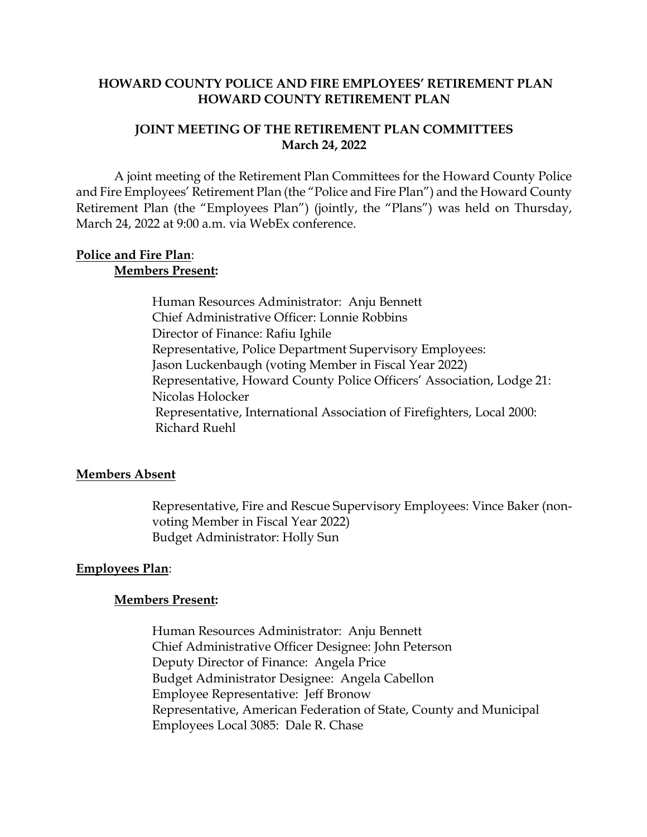#### **HOWARD COUNTY POLICE AND FIRE EMPLOYEES' RETIREMENT PLAN HOWARD COUNTY RETIREMENT PLAN**

#### **JOINT MEETING OF THE RETIREMENT PLAN COMMITTEES March 24, 2022**

A joint meeting of the Retirement Plan Committees for the Howard County Police and Fire Employees' Retirement Plan (the "Police and Fire Plan") and the Howard County Retirement Plan (the "Employees Plan") (jointly, the "Plans") was held on Thursday, March 24, 2022 at 9:00 a.m. via WebEx conference.

#### **Police and Fire Plan**: **Members Present:**

Human Resources Administrator: Anju Bennett Chief Administrative Officer: Lonnie Robbins Director of Finance: Rafiu Ighile Representative, Police Department Supervisory Employees: Jason Luckenbaugh (voting Member in Fiscal Year 2022) Representative, Howard County Police Officers' Association, Lodge 21: Nicolas Holocker Representative, International Association of Firefighters, Local 2000: Richard Ruehl

## **Members Absent**

Representative, Fire and Rescue Supervisory Employees: Vince Baker (nonvoting Member in Fiscal Year 2022) Budget Administrator: Holly Sun

## **Employees Plan**:

## **Members Present:**

Human Resources Administrator: Anju Bennett Chief Administrative Officer Designee: John Peterson Deputy Director of Finance: Angela Price Budget Administrator Designee: Angela Cabellon Employee Representative: Jeff Bronow Representative, American Federation of State, County and Municipal Employees Local 3085: Dale R. Chase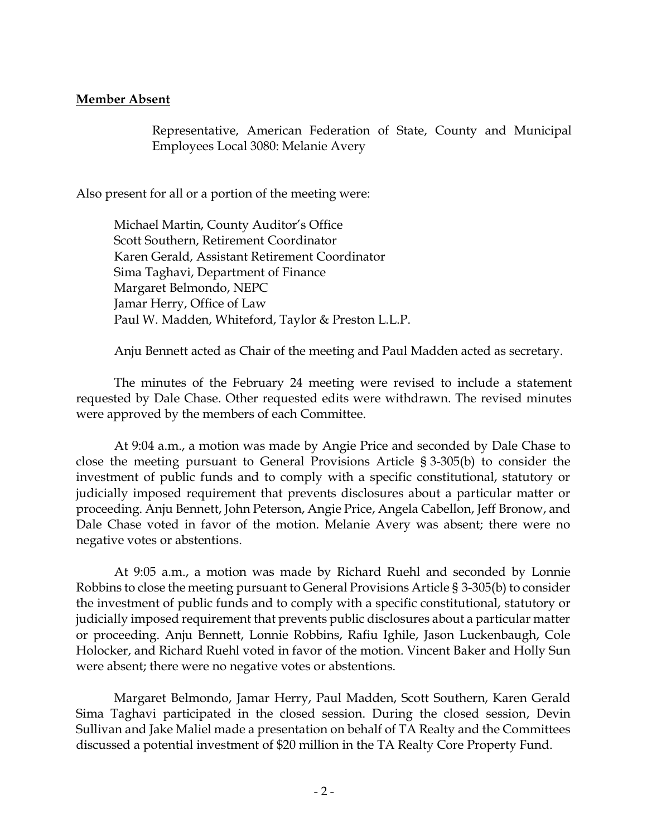## **Member Absent**

Representative, American Federation of State, County and Municipal Employees Local 3080: Melanie Avery

Also present for all or a portion of the meeting were:

Michael Martin, County Auditor's Office Scott Southern, Retirement Coordinator Karen Gerald, Assistant Retirement Coordinator Sima Taghavi, Department of Finance Margaret Belmondo, NEPC Jamar Herry, Office of Law Paul W. Madden, Whiteford, Taylor & Preston L.L.P.

Anju Bennett acted as Chair of the meeting and Paul Madden acted as secretary.

The minutes of the February 24 meeting were revised to include a statement requested by Dale Chase. Other requested edits were withdrawn. The revised minutes were approved by the members of each Committee.

At 9:04 a.m., a motion was made by Angie Price and seconded by Dale Chase to close the meeting pursuant to General Provisions Article § 3-305(b) to consider the investment of public funds and to comply with a specific constitutional, statutory or judicially imposed requirement that prevents disclosures about a particular matter or proceeding. Anju Bennett, John Peterson, Angie Price, Angela Cabellon, Jeff Bronow, and Dale Chase voted in favor of the motion. Melanie Avery was absent; there were no negative votes or abstentions.

At 9:05 a.m., a motion was made by Richard Ruehl and seconded by Lonnie Robbins to close the meeting pursuant to General Provisions Article § 3-305(b) to consider the investment of public funds and to comply with a specific constitutional, statutory or judicially imposed requirement that prevents public disclosures about a particular matter or proceeding. Anju Bennett, Lonnie Robbins, Rafiu Ighile, Jason Luckenbaugh, Cole Holocker, and Richard Ruehl voted in favor of the motion. Vincent Baker and Holly Sun were absent; there were no negative votes or abstentions.

Margaret Belmondo, Jamar Herry, Paul Madden, Scott Southern, Karen Gerald Sima Taghavi participated in the closed session. During the closed session, Devin Sullivan and Jake Maliel made a presentation on behalf of TA Realty and the Committees discussed a potential investment of \$20 million in the TA Realty Core Property Fund.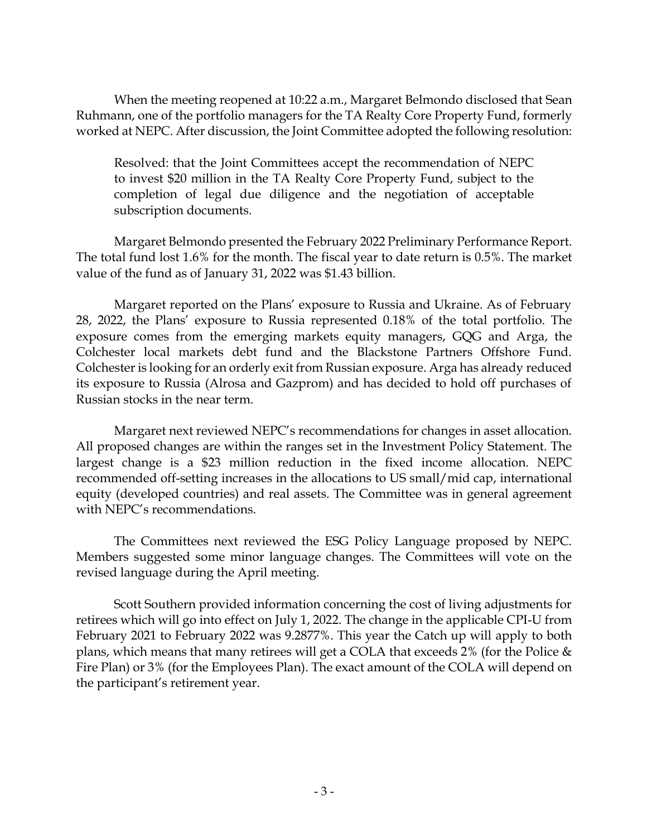When the meeting reopened at 10:22 a.m., Margaret Belmondo disclosed that Sean Ruhmann, one of the portfolio managers for the TA Realty Core Property Fund, formerly worked at NEPC. After discussion, the Joint Committee adopted the following resolution:

Resolved: that the Joint Committees accept the recommendation of NEPC to invest \$20 million in the TA Realty Core Property Fund, subject to the completion of legal due diligence and the negotiation of acceptable subscription documents.

Margaret Belmondo presented the February 2022 Preliminary Performance Report. The total fund lost 1.6% for the month. The fiscal year to date return is 0.5%. The market value of the fund as of January 31, 2022 was \$1.43 billion.

Margaret reported on the Plans' exposure to Russia and Ukraine. As of February 28, 2022, the Plans' exposure to Russia represented 0.18% of the total portfolio. The exposure comes from the emerging markets equity managers, GQG and Arga, the Colchester local markets debt fund and the Blackstone Partners Offshore Fund. Colchester is looking for an orderly exit from Russian exposure. Arga has already reduced its exposure to Russia (Alrosa and Gazprom) and has decided to hold off purchases of Russian stocks in the near term.

Margaret next reviewed NEPC's recommendations for changes in asset allocation. All proposed changes are within the ranges set in the Investment Policy Statement. The largest change is a \$23 million reduction in the fixed income allocation. NEPC recommended off-setting increases in the allocations to US small/mid cap, international equity (developed countries) and real assets. The Committee was in general agreement with NEPC's recommendations.

The Committees next reviewed the ESG Policy Language proposed by NEPC. Members suggested some minor language changes. The Committees will vote on the revised language during the April meeting.

Scott Southern provided information concerning the cost of living adjustments for retirees which will go into effect on July 1, 2022. The change in the applicable CPI-U from February 2021 to February 2022 was 9.2877%. This year the Catch up will apply to both plans, which means that many retirees will get a COLA that exceeds 2% (for the Police & Fire Plan) or 3% (for the Employees Plan). The exact amount of the COLA will depend on the participant's retirement year.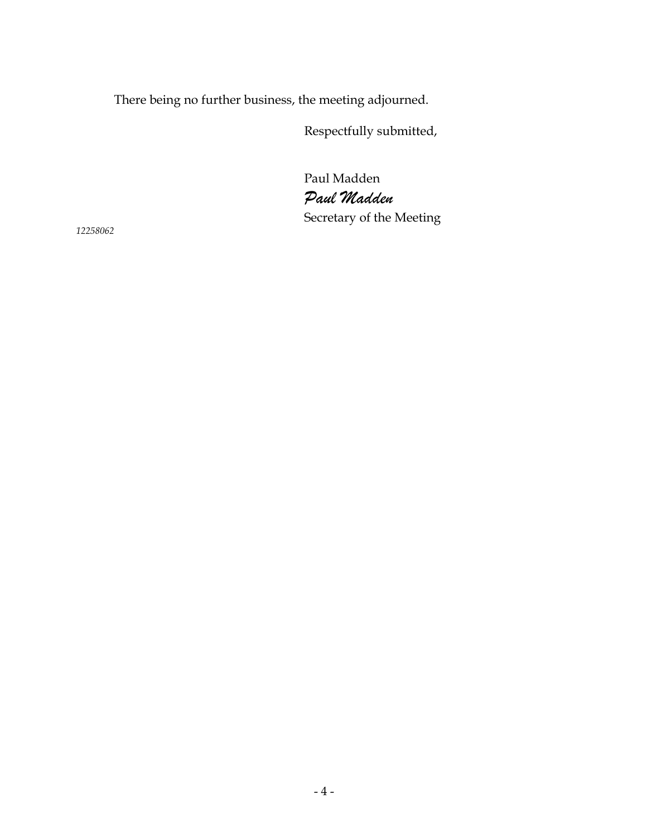There being no further business, the meeting adjourned.

Respectfully submitted,

Paul Madden *Paul Madden* Secretary of the Meeting

*12258062*